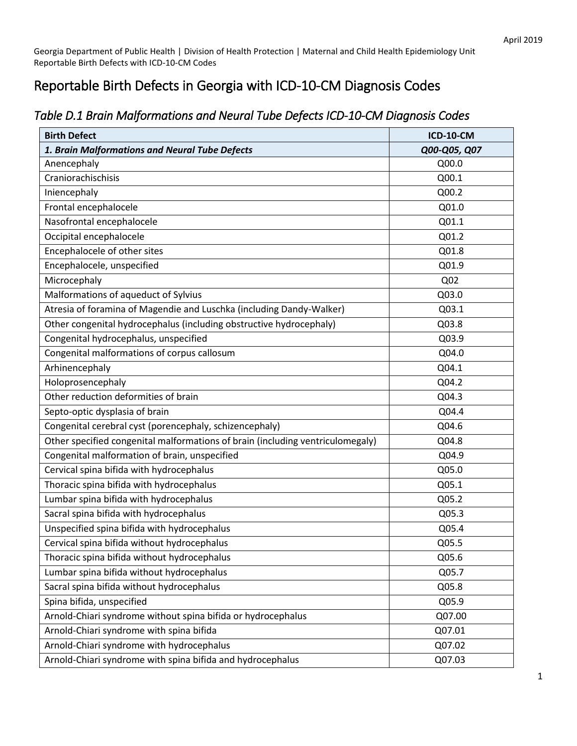## Reportable Birth Defects in Georgia with ICD-10-CM Diagnosis Codes

| <b>Birth Defect</b>                                                            | <b>ICD-10-CM</b> |
|--------------------------------------------------------------------------------|------------------|
| 1. Brain Malformations and Neural Tube Defects                                 | Q00-Q05, Q07     |
| Anencephaly                                                                    | Q00.0            |
| Craniorachischisis                                                             | Q00.1            |
| Iniencephaly                                                                   | Q00.2            |
| Frontal encephalocele                                                          | Q01.0            |
| Nasofrontal encephalocele                                                      | Q01.1            |
| Occipital encephalocele                                                        | Q01.2            |
| Encephalocele of other sites                                                   | Q01.8            |
| Encephalocele, unspecified                                                     | Q01.9            |
| Microcephaly                                                                   | Q <sub>02</sub>  |
| Malformations of aqueduct of Sylvius                                           | Q03.0            |
| Atresia of foramina of Magendie and Luschka (including Dandy-Walker)           | Q03.1            |
| Other congenital hydrocephalus (including obstructive hydrocephaly)            | Q03.8            |
| Congenital hydrocephalus, unspecified                                          | Q03.9            |
| Congenital malformations of corpus callosum                                    | Q04.0            |
| Arhinencephaly                                                                 | Q04.1            |
| Holoprosencephaly                                                              | Q04.2            |
| Other reduction deformities of brain                                           | Q04.3            |
| Septo-optic dysplasia of brain                                                 | Q04.4            |
| Congenital cerebral cyst (porencephaly, schizencephaly)                        | Q04.6            |
| Other specified congenital malformations of brain (including ventriculomegaly) | Q04.8            |
| Congenital malformation of brain, unspecified                                  | Q04.9            |
| Cervical spina bifida with hydrocephalus                                       | Q05.0            |
| Thoracic spina bifida with hydrocephalus                                       | Q05.1            |
| Lumbar spina bifida with hydrocephalus                                         | Q05.2            |
| Sacral spina bifida with hydrocephalus                                         | Q05.3            |
| Unspecified spina bifida with hydrocephalus                                    | Q05.4            |
| Cervical spina bifida without hydrocephalus                                    | Q05.5            |
| Thoracic spina bifida without hydrocephalus                                    | Q05.6            |
| Lumbar spina bifida without hydrocephalus                                      | Q05.7            |
| Sacral spina bifida without hydrocephalus                                      | Q05.8            |
| Spina bifida, unspecified                                                      | Q05.9            |
| Arnold-Chiari syndrome without spina bifida or hydrocephalus                   | Q07.00           |
| Arnold-Chiari syndrome with spina bifida                                       | Q07.01           |
| Arnold-Chiari syndrome with hydrocephalus                                      | Q07.02           |
| Arnold-Chiari syndrome with spina bifida and hydrocephalus                     | Q07.03           |

## *Table D.1 Brain Malformations and Neural Tube Defects ICD-10-CM Diagnosis Codes*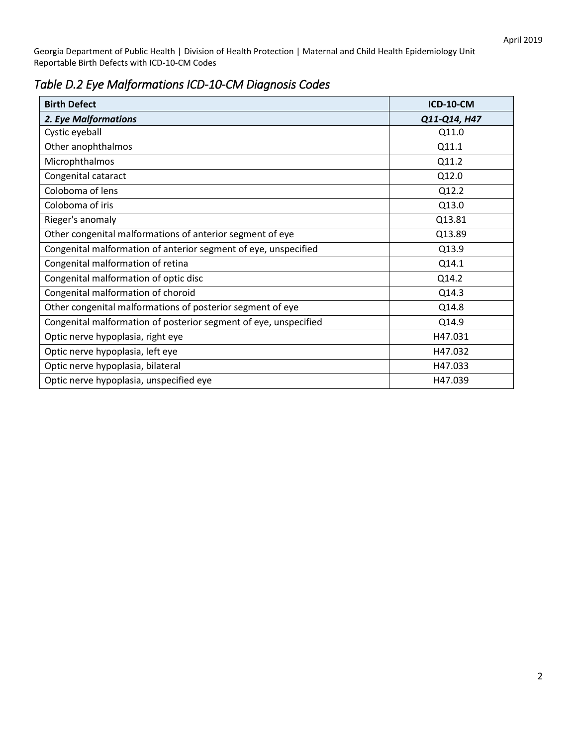*Table D.2 Eye Malformations ICD-10-CM Diagnosis Codes* 

| <b>Birth Defect</b>                                              | <b>ICD-10-CM</b> |
|------------------------------------------------------------------|------------------|
| 2. Eye Malformations                                             | Q11-Q14, H47     |
| Cystic eyeball                                                   | Q11.0            |
| Other anophthalmos                                               | Q11.1            |
| Microphthalmos                                                   | Q11.2            |
| Congenital cataract                                              | Q12.0            |
| Coloboma of lens                                                 | Q12.2            |
| Coloboma of iris                                                 | Q13.0            |
| Rieger's anomaly                                                 | Q13.81           |
| Other congenital malformations of anterior segment of eye        | Q13.89           |
| Congenital malformation of anterior segment of eye, unspecified  | Q13.9            |
| Congenital malformation of retina                                | Q14.1            |
| Congenital malformation of optic disc                            | Q14.2            |
| Congenital malformation of choroid                               | Q14.3            |
| Other congenital malformations of posterior segment of eye       | Q14.8            |
| Congenital malformation of posterior segment of eye, unspecified | Q14.9            |
| Optic nerve hypoplasia, right eye                                | H47.031          |
| Optic nerve hypoplasia, left eye                                 | H47.032          |
| Optic nerve hypoplasia, bilateral                                | H47.033          |
| Optic nerve hypoplasia, unspecified eye                          | H47.039          |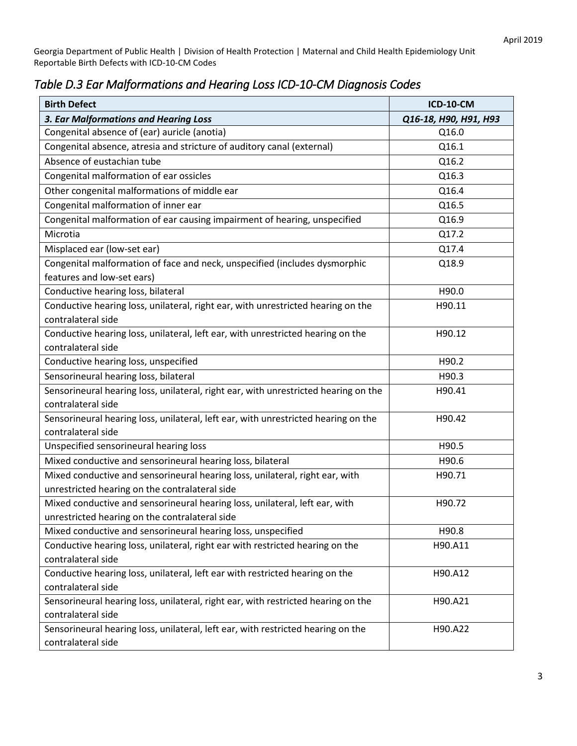| <b>Birth Defect</b>                                                                 | <b>ICD-10-CM</b>      |
|-------------------------------------------------------------------------------------|-----------------------|
| 3. Ear Malformations and Hearing Loss                                               | Q16-18, H90, H91, H93 |
| Congenital absence of (ear) auricle (anotia)                                        | Q16.0                 |
| Congenital absence, atresia and stricture of auditory canal (external)              | Q16.1                 |
| Absence of eustachian tube                                                          | Q16.2                 |
| Congenital malformation of ear ossicles                                             | Q16.3                 |
| Other congenital malformations of middle ear                                        | Q16.4                 |
| Congenital malformation of inner ear                                                | Q16.5                 |
| Congenital malformation of ear causing impairment of hearing, unspecified           | Q16.9                 |
| Microtia                                                                            | Q17.2                 |
| Misplaced ear (low-set ear)                                                         | Q17.4                 |
| Congenital malformation of face and neck, unspecified (includes dysmorphic          | Q18.9                 |
| features and low-set ears)                                                          |                       |
| Conductive hearing loss, bilateral                                                  | H90.0                 |
| Conductive hearing loss, unilateral, right ear, with unrestricted hearing on the    | H90.11                |
| contralateral side                                                                  |                       |
| Conductive hearing loss, unilateral, left ear, with unrestricted hearing on the     | H90.12                |
| contralateral side                                                                  |                       |
| Conductive hearing loss, unspecified                                                | H90.2                 |
| Sensorineural hearing loss, bilateral                                               | H90.3                 |
| Sensorineural hearing loss, unilateral, right ear, with unrestricted hearing on the | H90.41                |
| contralateral side                                                                  |                       |
| Sensorineural hearing loss, unilateral, left ear, with unrestricted hearing on the  | H90.42                |
| contralateral side                                                                  |                       |
| Unspecified sensorineural hearing loss                                              | H90.5                 |
| Mixed conductive and sensorineural hearing loss, bilateral                          | H90.6                 |
| Mixed conductive and sensorineural hearing loss, unilateral, right ear, with        | H90.71                |
| unrestricted hearing on the contralateral side                                      |                       |
| Mixed conductive and sensorineural hearing loss, unilateral, left ear, with         | H90.72                |
| unrestricted hearing on the contralateral side                                      |                       |
| Mixed conductive and sensorineural hearing loss, unspecified                        | H90.8                 |
| Conductive hearing loss, unilateral, right ear with restricted hearing on the       | H90.A11               |
| contralateral side                                                                  |                       |
| Conductive hearing loss, unilateral, left ear with restricted hearing on the        | H90.A12               |
| contralateral side                                                                  |                       |
| Sensorineural hearing loss, unilateral, right ear, with restricted hearing on the   | H90.A21               |
| contralateral side                                                                  |                       |
| Sensorineural hearing loss, unilateral, left ear, with restricted hearing on the    | H90.A22               |
| contralateral side                                                                  |                       |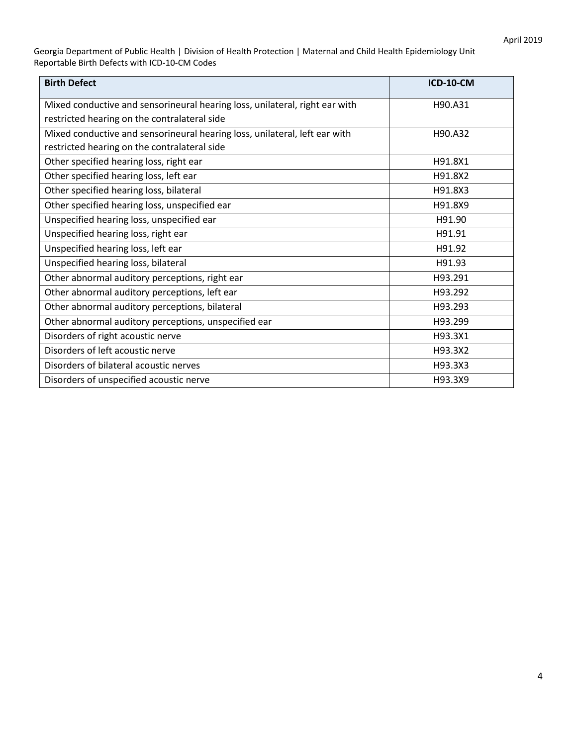| <b>Birth Defect</b>                                                         | <b>ICD-10-CM</b> |
|-----------------------------------------------------------------------------|------------------|
| Mixed conductive and sensorineural hearing loss, unilateral, right ear with | H90.A31          |
| restricted hearing on the contralateral side                                |                  |
| Mixed conductive and sensorineural hearing loss, unilateral, left ear with  | H90.A32          |
| restricted hearing on the contralateral side                                |                  |
| Other specified hearing loss, right ear                                     | H91.8X1          |
| Other specified hearing loss, left ear                                      | H91.8X2          |
| Other specified hearing loss, bilateral                                     | H91.8X3          |
| Other specified hearing loss, unspecified ear                               | H91.8X9          |
| Unspecified hearing loss, unspecified ear                                   | H91.90           |
| Unspecified hearing loss, right ear                                         | H91.91           |
| Unspecified hearing loss, left ear                                          | H91.92           |
| Unspecified hearing loss, bilateral                                         | H91.93           |
| Other abnormal auditory perceptions, right ear                              | H93.291          |
| Other abnormal auditory perceptions, left ear                               | H93.292          |
| Other abnormal auditory perceptions, bilateral                              | H93.293          |
| Other abnormal auditory perceptions, unspecified ear                        | H93.299          |
| Disorders of right acoustic nerve                                           | H93.3X1          |
| Disorders of left acoustic nerve                                            | H93.3X2          |
| Disorders of bilateral acoustic nerves                                      | H93.3X3          |
| Disorders of unspecified acoustic nerve                                     | H93.3X9          |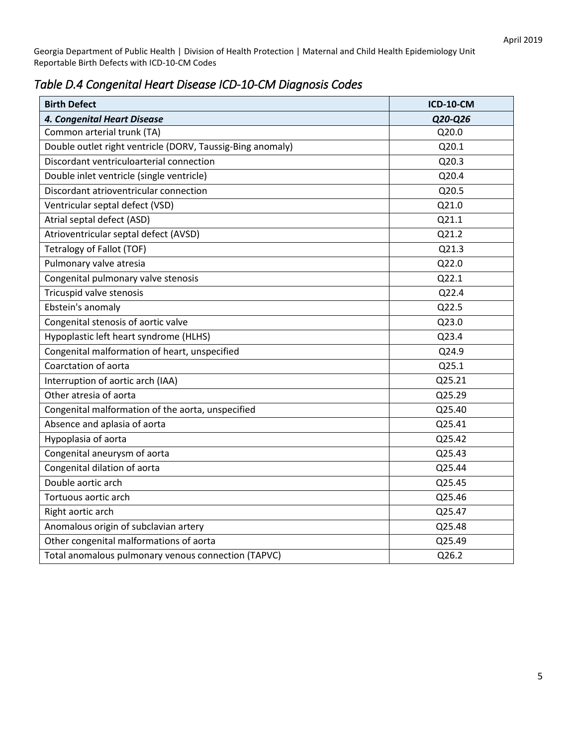| Table D.4 Congenital Heart Disease ICD-10-CM Diagnosis Codes |  |
|--------------------------------------------------------------|--|
|--------------------------------------------------------------|--|

| <b>Birth Defect</b>                                        | <b>ICD-10-CM</b> |
|------------------------------------------------------------|------------------|
| 4. Congenital Heart Disease                                | Q20-Q26          |
| Common arterial trunk (TA)                                 | Q20.0            |
| Double outlet right ventricle (DORV, Taussig-Bing anomaly) | Q20.1            |
| Discordant ventriculoarterial connection                   | Q20.3            |
| Double inlet ventricle (single ventricle)                  | Q20.4            |
| Discordant atrioventricular connection                     | Q20.5            |
| Ventricular septal defect (VSD)                            | Q21.0            |
| Atrial septal defect (ASD)                                 | Q21.1            |
| Atrioventricular septal defect (AVSD)                      | Q21.2            |
| Tetralogy of Fallot (TOF)                                  | Q21.3            |
| Pulmonary valve atresia                                    | Q22.0            |
| Congenital pulmonary valve stenosis                        | Q22.1            |
| Tricuspid valve stenosis                                   | Q22.4            |
| Ebstein's anomaly                                          | Q22.5            |
| Congenital stenosis of aortic valve                        | Q23.0            |
| Hypoplastic left heart syndrome (HLHS)                     | Q23.4            |
| Congenital malformation of heart, unspecified              | Q24.9            |
| Coarctation of aorta                                       | Q25.1            |
| Interruption of aortic arch (IAA)                          | Q25.21           |
| Other atresia of aorta                                     | Q25.29           |
| Congenital malformation of the aorta, unspecified          | Q25.40           |
| Absence and aplasia of aorta                               | Q25.41           |
| Hypoplasia of aorta                                        | Q25.42           |
| Congenital aneurysm of aorta                               | Q25.43           |
| Congenital dilation of aorta                               | Q25.44           |
| Double aortic arch                                         | Q25.45           |
| Tortuous aortic arch                                       | Q25.46           |
| Right aortic arch                                          | Q25.47           |
| Anomalous origin of subclavian artery                      | Q25.48           |
| Other congenital malformations of aorta                    | Q25.49           |
| Total anomalous pulmonary venous connection (TAPVC)        | Q26.2            |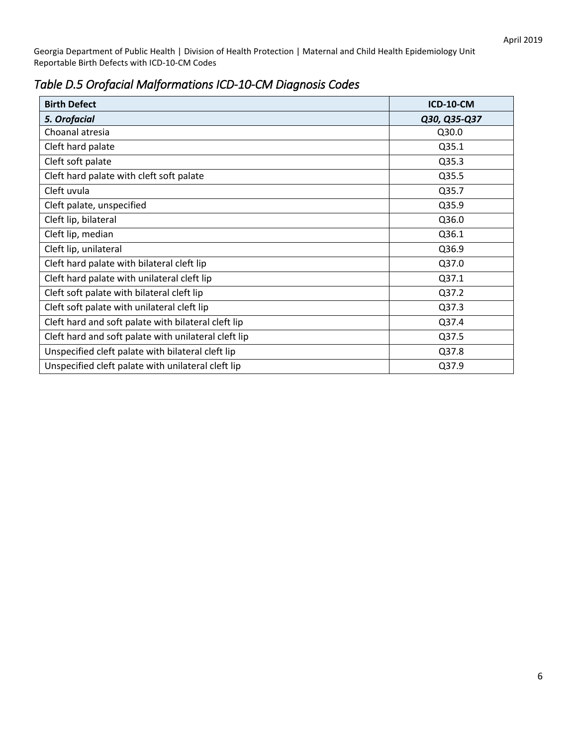| <b>Birth Defect</b>                                  | <b>ICD-10-CM</b> |
|------------------------------------------------------|------------------|
| 5. Orofacial                                         | Q30, Q35-Q37     |
| Choanal atresia                                      | Q30.0            |
| Cleft hard palate                                    | Q35.1            |
| Cleft soft palate                                    | Q35.3            |
| Cleft hard palate with cleft soft palate             | Q35.5            |
| Cleft uvula                                          | Q35.7            |
| Cleft palate, unspecified                            | Q35.9            |
| Cleft lip, bilateral                                 | Q36.0            |
| Cleft lip, median                                    | Q36.1            |
| Cleft lip, unilateral                                | Q36.9            |
| Cleft hard palate with bilateral cleft lip           | Q37.0            |
| Cleft hard palate with unilateral cleft lip          | Q37.1            |
| Cleft soft palate with bilateral cleft lip           | Q37.2            |
| Cleft soft palate with unilateral cleft lip          | Q37.3            |
| Cleft hard and soft palate with bilateral cleft lip  | Q37.4            |
| Cleft hard and soft palate with unilateral cleft lip | Q37.5            |
| Unspecified cleft palate with bilateral cleft lip    | Q37.8            |
| Unspecified cleft palate with unilateral cleft lip   | Q37.9            |

## *Table D.5 Orofacial Malformations ICD-10-CM Diagnosis Codes*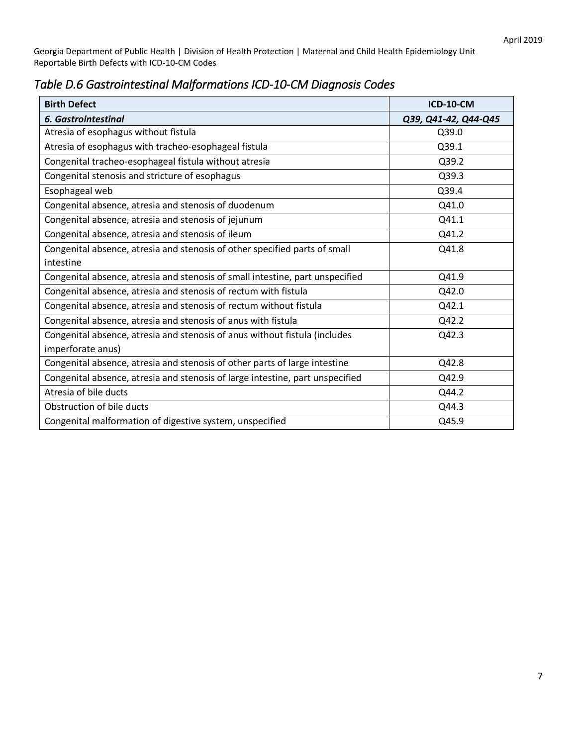|  |  | Table D.6 Gastrointestinal Malformations ICD-10-CM Diagnosis Codes |
|--|--|--------------------------------------------------------------------|
|--|--|--------------------------------------------------------------------|

| <b>Birth Defect</b>                                                           | <b>ICD-10-CM</b>     |
|-------------------------------------------------------------------------------|----------------------|
| <b>6. Gastrointestinal</b>                                                    | Q39, Q41-42, Q44-Q45 |
| Atresia of esophagus without fistula                                          | Q39.0                |
| Atresia of esophagus with tracheo-esophageal fistula                          | Q39.1                |
| Congenital tracheo-esophageal fistula without atresia                         | Q39.2                |
| Congenital stenosis and stricture of esophagus                                | Q39.3                |
| Esophageal web                                                                | Q39.4                |
| Congenital absence, atresia and stenosis of duodenum                          | Q41.0                |
| Congenital absence, atresia and stenosis of jejunum                           | Q41.1                |
| Congenital absence, atresia and stenosis of ileum                             | Q41.2                |
| Congenital absence, atresia and stenosis of other specified parts of small    | Q41.8                |
| intestine                                                                     |                      |
| Congenital absence, atresia and stenosis of small intestine, part unspecified | Q41.9                |
| Congenital absence, atresia and stenosis of rectum with fistula               | Q42.0                |
| Congenital absence, atresia and stenosis of rectum without fistula            | Q42.1                |
| Congenital absence, atresia and stenosis of anus with fistula                 | Q42.2                |
| Congenital absence, atresia and stenosis of anus without fistula (includes    | Q42.3                |
| imperforate anus)                                                             |                      |
| Congenital absence, atresia and stenosis of other parts of large intestine    | Q42.8                |
| Congenital absence, atresia and stenosis of large intestine, part unspecified | Q42.9                |
| Atresia of bile ducts                                                         | Q44.2                |
| Obstruction of bile ducts                                                     | Q44.3                |
| Congenital malformation of digestive system, unspecified                      | Q45.9                |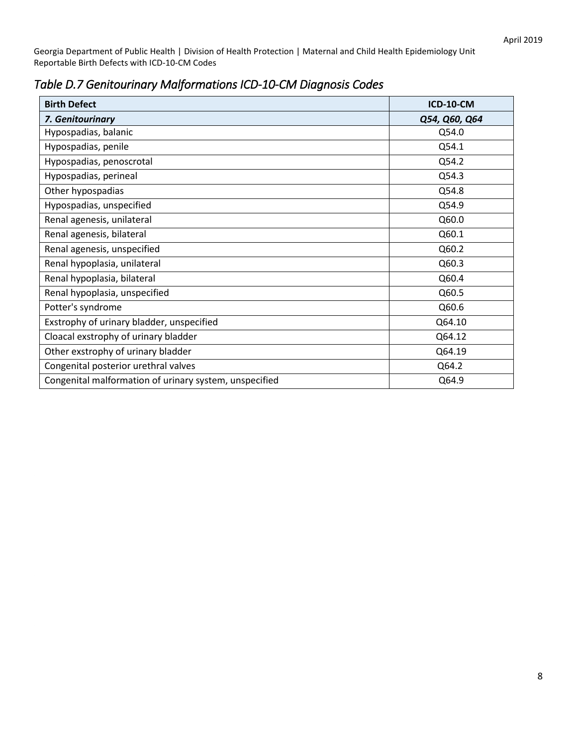| <b>Birth Defect</b>                                    | <b>ICD-10-CM</b> |
|--------------------------------------------------------|------------------|
| 7. Genitourinary                                       | Q54, Q60, Q64    |
| Hypospadias, balanic                                   | Q54.0            |
| Hypospadias, penile                                    | Q54.1            |
| Hypospadias, penoscrotal                               | Q54.2            |
| Hypospadias, perineal                                  | Q54.3            |
| Other hypospadias                                      | Q54.8            |
| Hypospadias, unspecified                               | Q54.9            |
| Renal agenesis, unilateral                             | Q60.0            |
| Renal agenesis, bilateral                              | Q60.1            |
| Renal agenesis, unspecified                            | Q60.2            |
| Renal hypoplasia, unilateral                           | Q60.3            |
| Renal hypoplasia, bilateral                            | Q60.4            |
| Renal hypoplasia, unspecified                          | Q60.5            |
| Potter's syndrome                                      | Q60.6            |
| Exstrophy of urinary bladder, unspecified              | Q64.10           |
| Cloacal exstrophy of urinary bladder                   | Q64.12           |
| Other exstrophy of urinary bladder                     | Q64.19           |
| Congenital posterior urethral valves                   | Q64.2            |
| Congenital malformation of urinary system, unspecified | Q64.9            |

*Table D.7 Genitourinary Malformations ICD-10-CM Diagnosis Codes*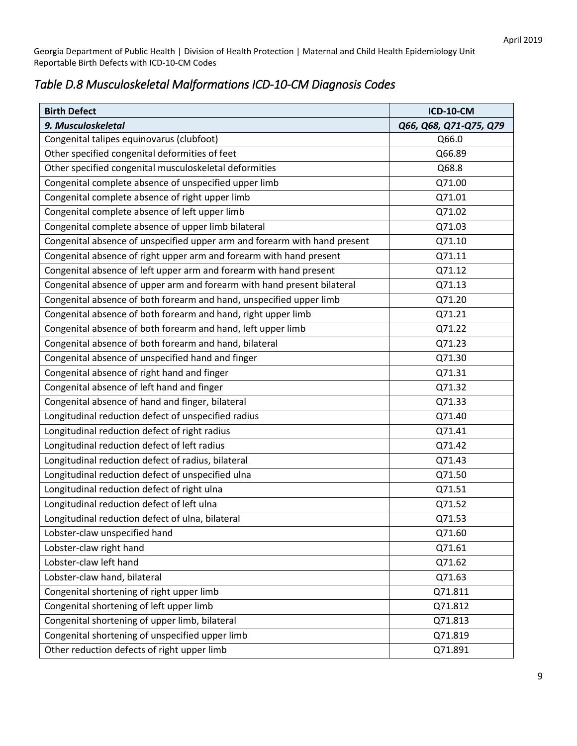## *Table D.8 Musculoskeletal Malformations ICD-10-CM Diagnosis Codes*

| <b>Birth Defect</b>                                                       | <b>ICD-10-CM</b>       |
|---------------------------------------------------------------------------|------------------------|
| 9. Musculoskeletal                                                        | Q66, Q68, Q71-Q75, Q79 |
| Congenital talipes equinovarus (clubfoot)                                 | Q66.0                  |
| Other specified congenital deformities of feet                            | Q66.89                 |
| Other specified congenital musculoskeletal deformities                    | Q68.8                  |
| Congenital complete absence of unspecified upper limb                     | Q71.00                 |
| Congenital complete absence of right upper limb                           | Q71.01                 |
| Congenital complete absence of left upper limb                            | Q71.02                 |
| Congenital complete absence of upper limb bilateral                       | Q71.03                 |
| Congenital absence of unspecified upper arm and forearm with hand present | Q71.10                 |
| Congenital absence of right upper arm and forearm with hand present       | Q71.11                 |
| Congenital absence of left upper arm and forearm with hand present        | Q71.12                 |
| Congenital absence of upper arm and forearm with hand present bilateral   | Q71.13                 |
| Congenital absence of both forearm and hand, unspecified upper limb       | Q71.20                 |
| Congenital absence of both forearm and hand, right upper limb             | Q71.21                 |
| Congenital absence of both forearm and hand, left upper limb              | Q71.22                 |
| Congenital absence of both forearm and hand, bilateral                    | Q71.23                 |
| Congenital absence of unspecified hand and finger                         | Q71.30                 |
| Congenital absence of right hand and finger                               | Q71.31                 |
| Congenital absence of left hand and finger                                | Q71.32                 |
| Congenital absence of hand and finger, bilateral                          | Q71.33                 |
| Longitudinal reduction defect of unspecified radius                       | Q71.40                 |
| Longitudinal reduction defect of right radius                             | Q71.41                 |
| Longitudinal reduction defect of left radius                              | Q71.42                 |
| Longitudinal reduction defect of radius, bilateral                        | Q71.43                 |
| Longitudinal reduction defect of unspecified ulna                         | Q71.50                 |
| Longitudinal reduction defect of right ulna                               | Q71.51                 |
| Longitudinal reduction defect of left ulna                                | Q71.52                 |
| Longitudinal reduction defect of ulna, bilateral                          | Q71.53                 |
| Lobster-claw unspecified hand                                             | Q71.60                 |
| Lobster-claw right hand                                                   | Q71.61                 |
| Lobster-claw left hand                                                    | Q71.62                 |
| Lobster-claw hand, bilateral                                              | Q71.63                 |
| Congenital shortening of right upper limb                                 | Q71.811                |
| Congenital shortening of left upper limb                                  | Q71.812                |
| Congenital shortening of upper limb, bilateral                            | Q71.813                |
| Congenital shortening of unspecified upper limb                           | Q71.819                |
| Other reduction defects of right upper limb                               | Q71.891                |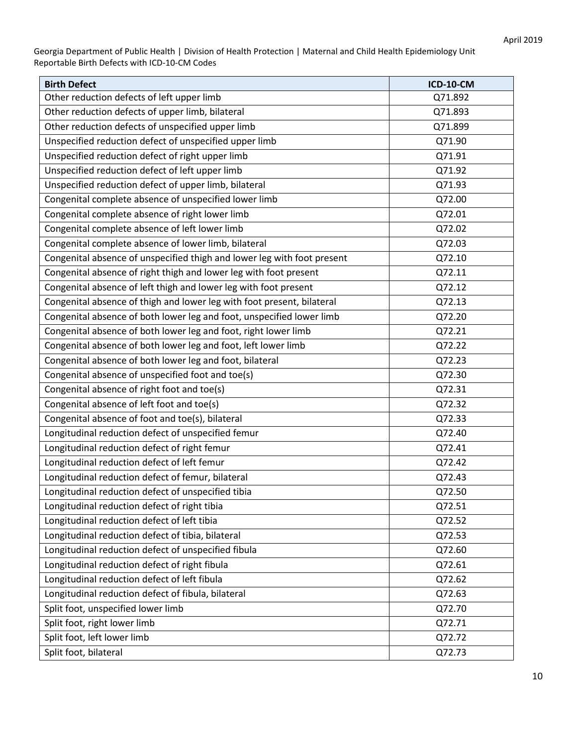| <b>Birth Defect</b>                                                     | <b>ICD-10-CM</b> |
|-------------------------------------------------------------------------|------------------|
| Other reduction defects of left upper limb                              | Q71.892          |
| Other reduction defects of upper limb, bilateral                        | Q71.893          |
| Other reduction defects of unspecified upper limb                       | Q71.899          |
| Unspecified reduction defect of unspecified upper limb                  | Q71.90           |
| Unspecified reduction defect of right upper limb                        | Q71.91           |
| Unspecified reduction defect of left upper limb                         | Q71.92           |
| Unspecified reduction defect of upper limb, bilateral                   | Q71.93           |
| Congenital complete absence of unspecified lower limb                   | Q72.00           |
| Congenital complete absence of right lower limb                         | Q72.01           |
| Congenital complete absence of left lower limb                          | Q72.02           |
| Congenital complete absence of lower limb, bilateral                    | Q72.03           |
| Congenital absence of unspecified thigh and lower leg with foot present | Q72.10           |
| Congenital absence of right thigh and lower leg with foot present       | Q72.11           |
| Congenital absence of left thigh and lower leg with foot present        | Q72.12           |
| Congenital absence of thigh and lower leg with foot present, bilateral  | Q72.13           |
| Congenital absence of both lower leg and foot, unspecified lower limb   | Q72.20           |
| Congenital absence of both lower leg and foot, right lower limb         | Q72.21           |
| Congenital absence of both lower leg and foot, left lower limb          | Q72.22           |
| Congenital absence of both lower leg and foot, bilateral                | Q72.23           |
| Congenital absence of unspecified foot and toe(s)                       | Q72.30           |
| Congenital absence of right foot and toe(s)                             | Q72.31           |
| Congenital absence of left foot and toe(s)                              | Q72.32           |
| Congenital absence of foot and toe(s), bilateral                        | Q72.33           |
| Longitudinal reduction defect of unspecified femur                      | Q72.40           |
| Longitudinal reduction defect of right femur                            | Q72.41           |
| Longitudinal reduction defect of left femur                             | Q72.42           |
| Longitudinal reduction defect of femur, bilateral                       | Q72.43           |
| Longitudinal reduction defect of unspecified tibia                      | Q72.50           |
| Longitudinal reduction defect of right tibia                            | Q72.51           |
| Longitudinal reduction defect of left tibia                             | Q72.52           |
| Longitudinal reduction defect of tibia, bilateral                       | Q72.53           |
| Longitudinal reduction defect of unspecified fibula                     | Q72.60           |
| Longitudinal reduction defect of right fibula                           | Q72.61           |
| Longitudinal reduction defect of left fibula                            | Q72.62           |
| Longitudinal reduction defect of fibula, bilateral                      | Q72.63           |
| Split foot, unspecified lower limb                                      | Q72.70           |
| Split foot, right lower limb                                            | Q72.71           |
| Split foot, left lower limb                                             | Q72.72           |
| Split foot, bilateral                                                   | Q72.73           |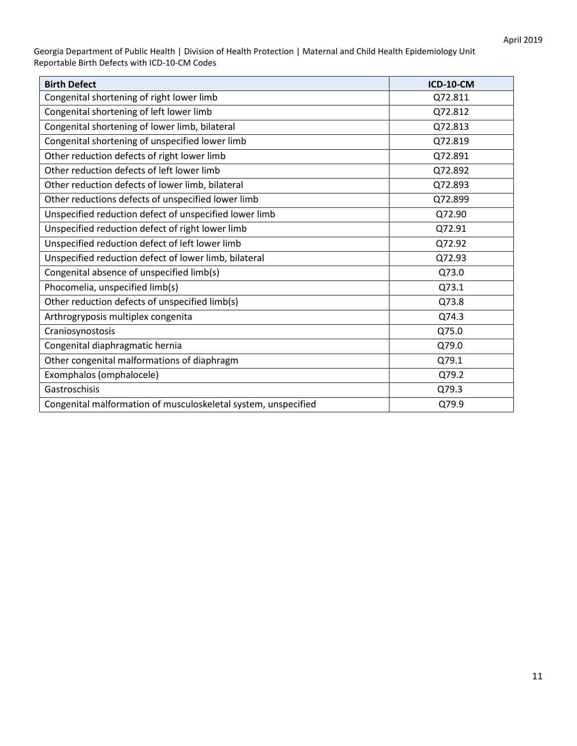| <b>Birth Defect</b>                                            | <b>ICD-10-CM</b> |
|----------------------------------------------------------------|------------------|
| Congenital shortening of right lower limb                      | Q72.811          |
| Congenital shortening of left lower limb                       | Q72.812          |
| Congenital shortening of lower limb, bilateral                 | Q72.813          |
| Congenital shortening of unspecified lower limb                | Q72.819          |
| Other reduction defects of right lower limb                    | Q72.891          |
| Other reduction defects of left lower limb                     | Q72.892          |
| Other reduction defects of lower limb, bilateral               | Q72.893          |
| Other reductions defects of unspecified lower limb             | Q72.899          |
| Unspecified reduction defect of unspecified lower limb         | Q72.90           |
| Unspecified reduction defect of right lower limb               | Q72.91           |
| Unspecified reduction defect of left lower limb                | Q72.92           |
| Unspecified reduction defect of lower limb, bilateral          | Q72.93           |
| Congenital absence of unspecified limb(s)                      | Q73.0            |
| Phocomelia, unspecified limb(s)                                | Q73.1            |
| Other reduction defects of unspecified limb(s)                 | Q73.8            |
| Arthrogryposis multiplex congenita                             | Q74.3            |
| Craniosynostosis                                               | Q75.0            |
| Congenital diaphragmatic hernia                                | Q79.0            |
| Other congenital malformations of diaphragm                    | Q79.1            |
| Exomphalos (omphalocele)                                       | Q79.2            |
| Gastroschisis                                                  | Q79.3            |
| Congenital malformation of musculoskeletal system, unspecified | Q79.9            |